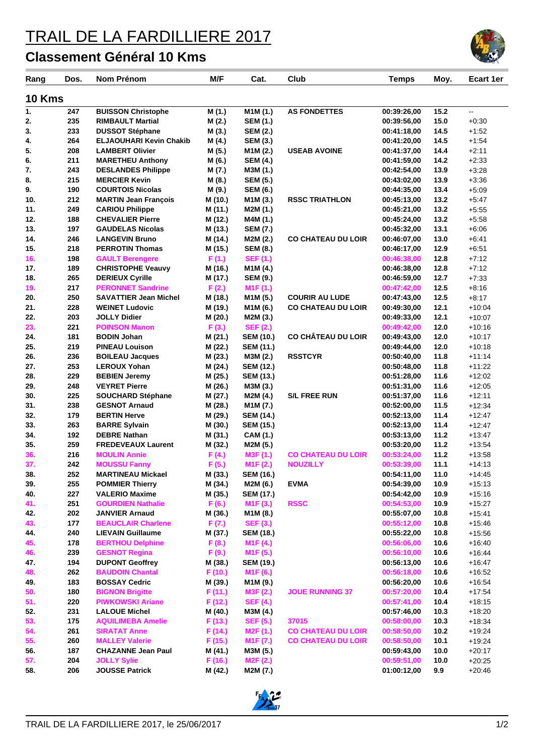## TRAIL DE LA FARDILLIERE 2017

## **Classement Général 10 Kms**

| Rang          | Dos. | <b>Nom Prénom</b>              | M/F     | Cat.                             | Club                      | <b>Temps</b> | Moy. | Ecart 1er |
|---------------|------|--------------------------------|---------|----------------------------------|---------------------------|--------------|------|-----------|
| <b>10 Kms</b> |      |                                |         |                                  |                           |              |      |           |
| 1.            | 247  | <b>BUISSON Christophe</b>      | M (1.)  | M1M (1.)                         | <b>AS FONDETTES</b>       | 00:39:26,00  | 15.2 | u.        |
| 2.            | 235  | <b>RIMBAULT Martial</b>        | M (2.)  | <b>SEM (1.)</b>                  |                           | 00:39:56,00  | 15.0 | $+0:30$   |
| 3.            | 233  | <b>DUSSOT Stéphane</b>         | M (3.)  | <b>SEM (2.)</b>                  |                           | 00:41:18,00  | 14.5 | $+1:52$   |
| 4.            | 264  | <b>ELJAOUHARI Kevin Chakib</b> | M (4.)  | <b>SEM (3.)</b>                  |                           | 00:41:20.00  | 14.5 | $+1:54$   |
| 5.            | 208  | <b>LAMBERT Olivier</b>         | M (5.)  | M1M (2.)                         | <b>USEAB AVOINE</b>       | 00:41:37,00  | 14.4 | $+2:11$   |
| 6.            | 211  | <b>MARETHEU Anthony</b>        | M (6.)  | <b>SEM (4.)</b>                  |                           | 00:41:59,00  | 14.2 | $+2:33$   |
| 7.            | 243  | <b>DESLANDES Philippe</b>      | M (7.)  | M3M (1.)                         |                           | 00:42:54,00  | 13.9 | $+3:28$   |
| 8.            | 215  | <b>MERCIER Kevin</b>           | M (8.)  | <b>SEM (5.)</b>                  |                           | 00:43:02,00  | 13.9 | $+3:36$   |
| 9.            | 190  | <b>COURTOIS Nicolas</b>        | M (9.)  | <b>SEM (6.)</b>                  |                           | 00:44:35,00  | 13.4 | $+5:09$   |
| 10.           | 212  | <b>MARTIN Jean François</b>    | M (10.) | M1M (3.)                         | <b>RSSC TRIATHLON</b>     | 00:45:13,00  | 13.2 | $+5:47$   |
| 11.           | 249  | <b>CARIOU Philippe</b>         | M (11.) | M2M (1.)                         |                           | 00:45:21,00  | 13.2 | $+5:55$   |
| 12.           | 188  | <b>CHEVALIER Pierre</b>        | M (12.) | M4M (1.)                         |                           | 00:45:24,00  | 13.2 | $+5:58$   |
| 13.           | 197  | <b>GAUDELAS Nicolas</b>        | M (13.) | <b>SEM (7.)</b>                  |                           | 00:45:32,00  | 13.1 | $+6:06$   |
| 14.           | 246  | <b>LANGEVIN Bruno</b>          | M (14.) | M2M (2.)                         | <b>CO CHATEAU DU LOIR</b> | 00:46:07,00  | 13.0 | $+6:41$   |
| 15.           | 218  | <b>PERROTIN Thomas</b>         | M (15.) | <b>SEM (8.)</b>                  |                           | 00:46:17,00  | 12.9 | $+6.51$   |
| 16.           | 198  | <b>GAULT Berengere</b>         | F(1.)   | <b>SEF (1.)</b>                  |                           | 00:46:38,00  | 12.8 | $+7:12$   |
| 17.           | 189  | <b>CHRISTOPHE Veauvy</b>       | M (16.) | M1M (4.)                         |                           | 00:46:38,00  | 12.8 | $+7:12$   |
| 18.           | 265  | <b>DERIEUX Cyrille</b>         | M (17.) | <b>SEM (9.)</b>                  |                           | 00:46:59,00  | 12.7 | $+7:33$   |
| 19.           | 217  | <b>PERONNET Sandrine</b>       | F(2.)   | M1F(1.)                          |                           | 00:47:42,00  | 12.5 | $+8:16$   |
| 20.           | 250  | <b>SAVATTIER Jean Michel</b>   | M (18.) | M <sub>1</sub> M <sub>(5.)</sub> | <b>COURIR AU LUDE</b>     | 00:47:43,00  | 12.5 | $+8:17$   |
| 21.           | 228  | <b>WEINET Ludovic</b>          | M (19.) | M1M (6.)                         | <b>CO CHATEAU DU LOIR</b> | 00:49:30.00  | 12.1 | $+10.04$  |
| 22.           | 203  | <b>JOLLY Didier</b>            | M (20.) | M2M (3.)                         |                           | 00:49:33,00  | 12.1 | $+10:07$  |
| 23.           | 221  | <b>POINSON Manon</b>           | F(3.)   | <b>SEF (2.)</b>                  |                           | 00:49:42,00  | 12.0 | $+10:16$  |
| 24.           | 181  | <b>BODIN Johan</b>             | M (21.) | <b>SEM (10.)</b>                 | CO CHÂTEAU DU LOIR        | 00:49:43,00  | 12.0 | $+10:17$  |
| 25.           | 219  | <b>PINEAU Louison</b>          | M (22.) | <b>SEM (11.)</b>                 |                           | 00:49:44,00  | 12.0 | $+10:18$  |
| 26.           | 236  | <b>BOILEAU Jacques</b>         | M (23.) | M3M (2.)                         | <b>RSSTCYR</b>            | 00:50:40,00  | 11.8 | $+11:14$  |
| 27.           | 253  | <b>LEROUX Yohan</b>            | M (24.) | <b>SEM (12.)</b>                 |                           | 00:50:48,00  | 11.8 | $+11:22$  |
| 28.           | 229  | <b>BEBIEN Jeremy</b>           | M (25.) | <b>SEM (13.)</b>                 |                           | 00:51:28,00  | 11.6 | $+12:02$  |
| 29.           | 248  | <b>VEYRET Pierre</b>           | M (26.) | M3M (3.)                         |                           | 00:51:31,00  | 11.6 | $+12:05$  |
| 30.           | 225  | <b>SOUCHARD Stéphane</b>       | M (27.) | M2M (4.)                         | <b>S/L FREE RUN</b>       | 00:51:37,00  | 11.6 | $+12:11$  |
| 31.           | 238  | <b>GESNOT Arnaud</b>           | M (28.) | M1M (7.)                         |                           | 00:52:00,00  | 11.5 | $+12:34$  |
| 32.           | 179  | <b>BERTIN Herve</b>            | M (29.) | <b>SEM (14.)</b>                 |                           | 00:52:13,00  | 11.4 | $+12.47$  |
| 33.           | 263  | <b>BARRE Sylvain</b>           | M (30.) | <b>SEM (15.)</b>                 |                           | 00:52:13.00  | 11.4 | $+12:47$  |
| 34.           | 192  | <b>DEBRE Nathan</b>            | M (31.) | CAM (1.)                         |                           | 00:53:13,00  | 11.2 | $+13:47$  |
| 35.           | 259  | <b>FREDEVEAUX Laurent</b>      | M (32.) | M2M (5.)                         |                           | 00:53:20,00  | 11.2 | $+13:54$  |
| 36.           | 216  | <b>MOULIN Annie</b>            | F(4.)   | M3F (1.)                         | <b>CO CHATEAU DU LOIR</b> | 00:53:24,00  | 11.2 | $+13:58$  |
| 37.           | 242  | <b>MOUSSU Fanny</b>            | F(5.)   | M1F(2.)                          | <b>NOUZILLY</b>           | 00:53:39,00  | 11.1 | $+14:13$  |
| 38.           | 252  | <b>MARTINEAU Mickael</b>       | M(33.)  | <b>SEM (16.)</b>                 |                           | 00:54:11,00  | 11.0 | $+14.45$  |
| 39.           | 255  | <b>POMMIER Thierry</b>         | M (34.) | M2M (6.)                         | <b>EVMA</b>               | 00:54:39,00  | 10.9 | $+15:13$  |
| 40.           | 227  | <b>VALERIO Maxime</b>          | M (35.) | <b>SEM (17.)</b>                 |                           | 00:54:42,00  | 10.9 | $+15:16$  |
| 41.           | 251  | <b>GOURDIEN Nathalie</b>       | F(6.)   | M <sub>1</sub> F(3.)             | <b>RSSC</b>               | 00:54:53.00  | 10.9 | $+15:27$  |
| 42.           | 202  | <b>JANVIER Arnaud</b>          | M (36.) | M1M (8.)                         |                           | 00:55:07,00  | 10.8 | $+15.41$  |
| 43.           | 177  | <b>BEAUCLAIR Charlene</b>      | F(7.)   | <b>SEF (3.)</b>                  |                           | 00:55:12,00  | 10.8 | $+15.46$  |
| 44.           | 240  | <b>LIEVAIN Guillaume</b>       | M (37.) | <b>SEM (18.)</b>                 |                           | 00:55:22,00  | 10.8 | $+15:56$  |
| 45.           | 178  | <b>BERTHOU Delphine</b>        | F(8.)   | M <sub>1</sub> F(4.)             |                           | 00:56:06,00  | 10.6 | $+16:40$  |
| 46.           | 239  | <b>GESNOT Regina</b>           | F(9.)   | M <sub>1</sub> F(5.)             |                           | 00:56:10,00  | 10.6 | $+16.44$  |
| 47.           | 194  | <b>DUPONT Geoffrey</b>         | M (38.) | <b>SEM (19.)</b>                 |                           | 00:56:13,00  | 10.6 | $+16:47$  |
| 48.           | 262  | <b>BAUDOIN Chantal</b>         | F(10.)  | M <sub>1</sub> F (6.)            |                           | 00:56:18,00  | 10.6 | $+16:52$  |
| 49.           | 183  | <b>BOSSAY Cedric</b>           | M (39.) | M1M (9.)                         |                           | 00:56:20,00  | 10.6 | $+16.54$  |
| 50.           | 180  | <b>BIGNON Brigitte</b>         | F(11.)  | M3F (2.)                         | <b>JOUE RUNNING 37</b>    | 00:57:20,00  | 10.4 | $+17:54$  |
| 51.           | 220  | <b>PIWKOWSKI Ariane</b>        | F(12.)  | <b>SEF (4.)</b>                  |                           | 00:57:41,00  | 10.4 | $+18:15$  |
| 52.           | 231  | <b>LALOUE Michel</b>           | M (40.) | M3M (4.)                         |                           | 00:57:46,00  | 10.3 | $+18:20$  |
| 53.           | 175  | <b>AQUILIMEBA Amelie</b>       | F(13.)  | <b>SEF (5.)</b>                  | 37015                     | 00:58:00,00  | 10.3 | $+18:34$  |
| 54.           | 261  | <b>SIRATAT Anne</b>            | F (14.) | M <sub>2</sub> F (1.)            | <b>CO CHATEAU DU LOIR</b> | 00:58:50,00  | 10.2 | $+19:24$  |
| 55.           | 260  | <b>MALLEY Valerie</b>          | F (15.) | M <sub>1</sub> F(7.)             | <b>CO CHATEAU DU LOIR</b> | 00:58:50,00  | 10.1 | $+19:24$  |
| 56.           | 187  | <b>CHAZANNE Jean Paul</b>      | M (41.) | M3M (5.)                         |                           | 00:59:43,00  | 10.0 | $+20:17$  |
| 57.           | 204  | <b>JOLLY Sylie</b>             | F(16.)  | M2F (2.)                         |                           | 00:59:51,00  | 10.0 | $+20:25$  |
| 58.           | 206  | <b>JOUSSE Patrick</b>          | M (42.) | M2M (7.)                         |                           | 01:00:12,00  | 9.9  | $+20.46$  |
|               |      |                                |         |                                  |                           |              |      |           |